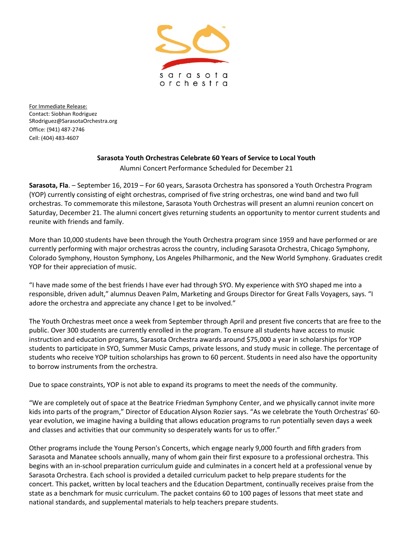

For Immediate Release: Contact: Siobhan Rodriguez SRodriguez@SarasotaOrchestra.org Office: (941) 487-2746 Cell: (404) 483-4607

## **Sarasota Youth Orchestras Celebrate 60 Years of Service to Local Youth**

Alumni Concert Performance Scheduled for December 21

**Sarasota, Fla**. – September 16, 2019 – For 60 years, Sarasota Orchestra has sponsored a Youth Orchestra Program (YOP) currently consisting of eight orchestras, comprised of five string orchestras, one wind band and two full orchestras. To commemorate this milestone, Sarasota Youth Orchestras will present an alumni reunion concert on Saturday, December 21. The alumni concert gives returning students an opportunity to mentor current students and reunite with friends and family.

More than 10,000 students have been through the Youth Orchestra program since 1959 and have performed or are currently performing with major orchestras across the country, including Sarasota Orchestra, Chicago Symphony, Colorado Symphony, Houston Symphony, Los Angeles Philharmonic, and the New World Symphony. Graduates credit YOP for their appreciation of music.

"I have made some of the best friends I have ever had through SYO. My experience with SYO shaped me into a responsible, driven adult," alumnus Deaven Palm, Marketing and Groups Director for Great Falls Voyagers, says. "I adore the orchestra and appreciate any chance I get to be involved."

The Youth Orchestras meet once a week from September through April and present five concerts that are free to the public. Over 300 students are currently enrolled in the program. To ensure all students have access to music instruction and education programs, Sarasota Orchestra awards around \$75,000 a year in scholarships for YOP students to participate in SYO, Summer Music Camps, private lessons, and study music in college. The percentage of students who receive YOP tuition scholarships has grown to 60 percent. Students in need also have the opportunity to borrow instruments from the orchestra.

Due to space constraints, YOP is not able to expand its programs to meet the needs of the community.

"We are completely out of space at the Beatrice Friedman Symphony Center, and we physically cannot invite more kids into parts of the program," Director of Education Alyson Rozier says. "As we celebrate the Youth Orchestras' 60 year evolution, we imagine having a building that allows education programs to run potentially seven days a week and classes and activities that our community so desperately wants for us to offer."

Other programs include the Young Person's Concerts, which engage nearly 9,000 fourth and fifth graders from Sarasota and Manatee schools annually, many of whom gain their first exposure to a professional orchestra. This begins with an in-school preparation curriculum guide and culminates in a concert held at a professional venue by Sarasota Orchestra. Each school is provided a detailed curriculum packet to help prepare students for the concert. This packet, written by local teachers and the Education Department, continually receives praise from the state as a benchmark for music curriculum. The packet contains 60 to 100 pages of lessons that meet state and national standards, and supplemental materials to help teachers prepare students.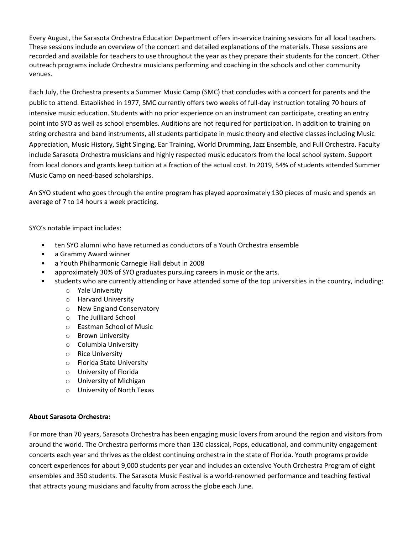Every August, the Sarasota Orchestra Education Department offers in-service training sessions for all local teachers. These sessions include an overview of the concert and detailed explanations of the materials. These sessions are recorded and available for teachers to use throughout the year as they prepare their students for the concert. Other outreach programs include Orchestra musicians performing and coaching in the schools and other community venues.

Each July, the Orchestra presents a Summer Music Camp (SMC) that concludes with a concert for parents and the public to attend. Established in 1977, SMC currently offers two weeks of full-day instruction totaling 70 hours of intensive music education. Students with no prior experience on an instrument can participate, creating an entry point into SYO as well as school ensembles. Auditions are not required for participation. In addition to training on string orchestra and band instruments, all students participate in music theory and elective classes including Music Appreciation, Music History, Sight Singing, Ear Training, World Drumming, Jazz Ensemble, and Full Orchestra. Faculty include Sarasota Orchestra musicians and highly respected music educators from the local school system. Support from local donors and grants keep tuition at a fraction of the actual cost. In 2019, 54% of students attended Summer Music Camp on need-based scholarships.

An SYO student who goes through the entire program has played approximately 130 pieces of music and spends an average of 7 to 14 hours a week practicing.

SYO's notable impact includes:

- ten SYO alumni who have returned as conductors of a Youth Orchestra ensemble
- a Grammy Award winner
- a Youth Philharmonic Carnegie Hall debut in 2008
- approximately 30% of SYO graduates pursuing careers in music or the arts.
- students who are currently attending or have attended some of the top universities in the country, including:
	- o Yale University
	- o Harvard University
	- o New England Conservatory
	- o The Juilliard School
	- o Eastman School of Music
	- o Brown University
	- o Columbia University
	- o Rice University
	- o Florida State University
	- o University of Florida
	- o University of Michigan
	- o University of North Texas

## **About Sarasota Orchestra:**

For more than 70 years, Sarasota Orchestra has been engaging music lovers from around the region and visitors from around the world. The Orchestra performs more than 130 classical, Pops, educational, and community engagement concerts each year and thrives as the oldest continuing orchestra in the state of Florida. Youth programs provide concert experiences for about 9,000 students per year and includes an extensive Youth Orchestra Program of eight ensembles and 350 students. The Sarasota Music Festival is a world-renowned performance and teaching festival that attracts young musicians and faculty from across the globe each June.